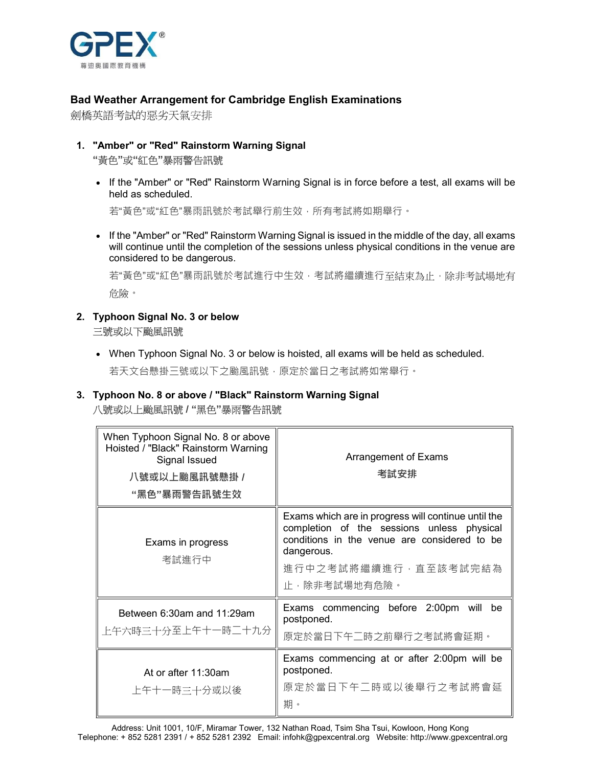

#### Bad Weather Arrangement for Cambridge English Examinations

劍橋英語考試的惡劣天氣安排

# 1. "Amber" or "Red" Rainstorm Warning Signal "黃色"或"紅色"暴雨警告訊號

 If the "Amber" or "Red" Rainstorm Warning Signal is in force before a test, all exams will be held as scheduled.

若"黃色"或"紅色"暴雨訊號於考試舉行前生效,所有考試將如期舉行。

• If the "Amber" or "Red" Rainstorm Warning Signal is issued in the middle of the day, all exams will continue until the completion of the sessions unless physical conditions in the venue are considered to be dangerous.

若"黃色"或"紅色"暴雨訊號於考試進行中生效,考試將繼續進行至結束為止,除非考試場地有 危險。

## 2. Typhoon Signal No. 3 or below 三號或以下颱風訊號

 When Typhoon Signal No. 3 or below is hoisted, all exams will be held as scheduled. 若天文台懸掛三號或以下之颱風訊號,原定於當日之考試將如常舉行。

## 3. Typhoon No. 8 or above / "Black" Rainstorm Warning Signal 八號或以上颱風訊號 / "黑色"暴雨警告訊號

| When Typhoon Signal No. 8 or above<br>Hoisted / "Black" Rainstorm Warning<br>Signal Issued<br>八號或以上颱風訊號懸掛 /<br>"黑色"暴雨警告訊號生效 | Arrangement of Exams<br>考試安排                                                                                                                                                                            |
|-----------------------------------------------------------------------------------------------------------------------------|---------------------------------------------------------------------------------------------------------------------------------------------------------------------------------------------------------|
| Exams in progress<br>考試進行中                                                                                                  | Exams which are in progress will continue until the<br>completion of the sessions unless physical<br>conditions in the venue are considered to be<br>dangerous.<br>進行中之考試將繼續進行,直至該考試完結為<br>止,除非考試場地有危險。 |
| Between 6:30am and 11:29am<br>上午六時三十分至上午十一時二十九分                                                                             | Exams commencing before 2:00pm<br>will<br>be<br>postponed.<br>原定於當日下午二時之前舉行之考試將會延期。                                                                                                                     |
| At or after 11:30am<br>上午十一時三十分或以後                                                                                          | Exams commencing at or after 2:00pm will be<br>postponed.<br>原定於當日下午二時或以後舉行之考試將會延<br>期。                                                                                                                 |